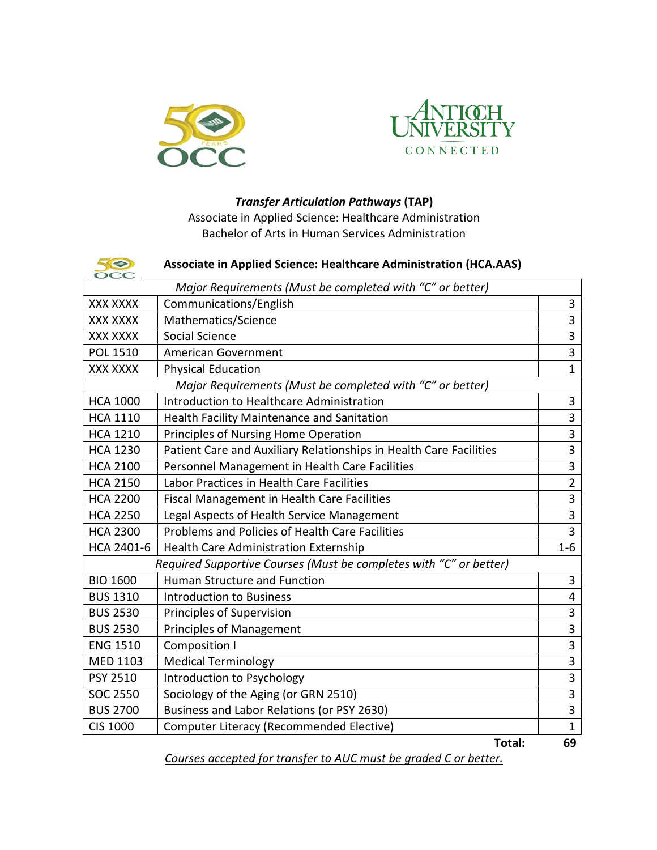



## *Transfer Articulation Pathways* **(TAP)**

Associate in Applied Science: Healthcare Administration Bachelor of Arts in Human Services Administration

| 50<br>ЖC                                                           | <b>Associate in Applied Science: Healthcare Administration (HCA.AAS)</b> |                |  |
|--------------------------------------------------------------------|--------------------------------------------------------------------------|----------------|--|
| Major Requirements (Must be completed with "C" or better)          |                                                                          |                |  |
| <b>XXX XXXX</b>                                                    | Communications/English                                                   | 3              |  |
| XXX XXXX                                                           | Mathematics/Science                                                      | $\overline{3}$ |  |
| <b>XXX XXXX</b>                                                    | Social Science                                                           |                |  |
| <b>POL 1510</b>                                                    | <b>American Government</b>                                               | $\overline{3}$ |  |
| XXX XXXX                                                           | <b>Physical Education</b>                                                | $\overline{1}$ |  |
| Major Requirements (Must be completed with "C" or better)          |                                                                          |                |  |
| <b>HCA 1000</b>                                                    | Introduction to Healthcare Administration                                | 3              |  |
| <b>HCA 1110</b>                                                    | Health Facility Maintenance and Sanitation                               | $\overline{3}$ |  |
| <b>HCA 1210</b>                                                    | Principles of Nursing Home Operation                                     | $\overline{3}$ |  |
| <b>HCA 1230</b>                                                    | Patient Care and Auxiliary Relationships in Health Care Facilities       | $\overline{3}$ |  |
| <b>HCA 2100</b>                                                    | Personnel Management in Health Care Facilities                           | $\overline{3}$ |  |
| <b>HCA 2150</b>                                                    | Labor Practices in Health Care Facilities                                | $\overline{2}$ |  |
| <b>HCA 2200</b>                                                    | <b>Fiscal Management in Health Care Facilities</b>                       | $\overline{3}$ |  |
| <b>HCA 2250</b>                                                    | Legal Aspects of Health Service Management                               | $\overline{3}$ |  |
| <b>HCA 2300</b>                                                    | Problems and Policies of Health Care Facilities                          | 3              |  |
| HCA 2401-6                                                         | <b>Health Care Administration Externship</b>                             | $1 - 6$        |  |
| Required Supportive Courses (Must be completes with "C" or better) |                                                                          |                |  |
| <b>BIO 1600</b>                                                    | Human Structure and Function                                             | 3              |  |
| <b>BUS 1310</b>                                                    | <b>Introduction to Business</b>                                          | $\overline{4}$ |  |
| <b>BUS 2530</b>                                                    | Principles of Supervision                                                | 3              |  |
| <b>BUS 2530</b>                                                    | <b>Principles of Management</b>                                          | $\overline{3}$ |  |
| <b>ENG 1510</b>                                                    | <b>Composition I</b>                                                     | 3              |  |
| <b>MED 1103</b>                                                    | <b>Medical Terminology</b>                                               | $\overline{3}$ |  |
| PSY 2510                                                           | Introduction to Psychology                                               | $\overline{3}$ |  |
| <b>SOC 2550</b>                                                    | Sociology of the Aging (or GRN 2510)                                     | $\overline{3}$ |  |
| <b>BUS 2700</b>                                                    | Business and Labor Relations (or PSY 2630)                               | 3              |  |
| <b>CIS 1000</b>                                                    | Computer Literacy (Recommended Elective)                                 | $\mathbf{1}$   |  |
|                                                                    | Total:                                                                   | 69             |  |

*Courses accepted for transfer to AUC must be graded C or better.*